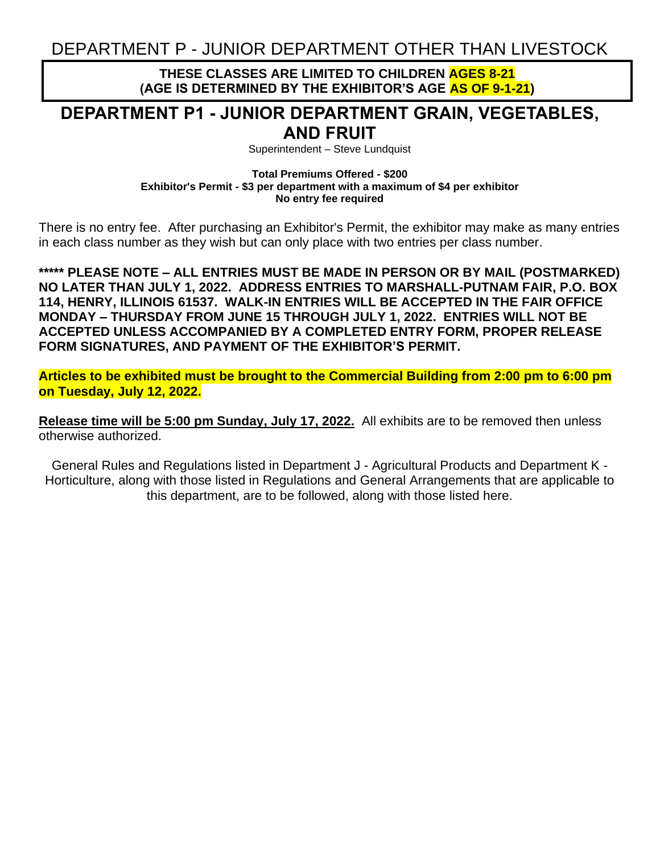DEPARTMENT P - JUNIOR DEPARTMENT OTHER THAN LIVESTOCK

**THESE CLASSES ARE LIMITED TO CHILDREN AGES 8-21 (AGE IS DETERMINED BY THE EXHIBITOR'S AGE AS OF 9-1-21)**

## **DEPARTMENT P1 - JUNIOR DEPARTMENT GRAIN, VEGETABLES, AND FRUIT**

Superintendent – Steve Lundquist

**Total Premiums Offered - \$200 Exhibitor's Permit - \$3 per department with a maximum of \$4 per exhibitor No entry fee required**

There is no entry fee. After purchasing an Exhibitor's Permit, the exhibitor may make as many entries in each class number as they wish but can only place with two entries per class number.

**\*\*\*\*\* PLEASE NOTE – ALL ENTRIES MUST BE MADE IN PERSON OR BY MAIL (POSTMARKED) NO LATER THAN JULY 1, 2022. ADDRESS ENTRIES TO MARSHALL-PUTNAM FAIR, P.O. BOX 114, HENRY, ILLINOIS 61537. WALK-IN ENTRIES WILL BE ACCEPTED IN THE FAIR OFFICE MONDAY – THURSDAY FROM JUNE 15 THROUGH JULY 1, 2022. ENTRIES WILL NOT BE ACCEPTED UNLESS ACCOMPANIED BY A COMPLETED ENTRY FORM, PROPER RELEASE FORM SIGNATURES, AND PAYMENT OF THE EXHIBITOR'S PERMIT.**

**Articles to be exhibited must be brought to the Commercial Building from 2:00 pm to 6:00 pm on Tuesday, July 12, 2022.**

**Release time will be 5:00 pm Sunday, July 17, 2022.** All exhibits are to be removed then unless otherwise authorized.

General Rules and Regulations listed in Department J - Agricultural Products and Department K - Horticulture, along with those listed in Regulations and General Arrangements that are applicable to this department, are to be followed, along with those listed here.